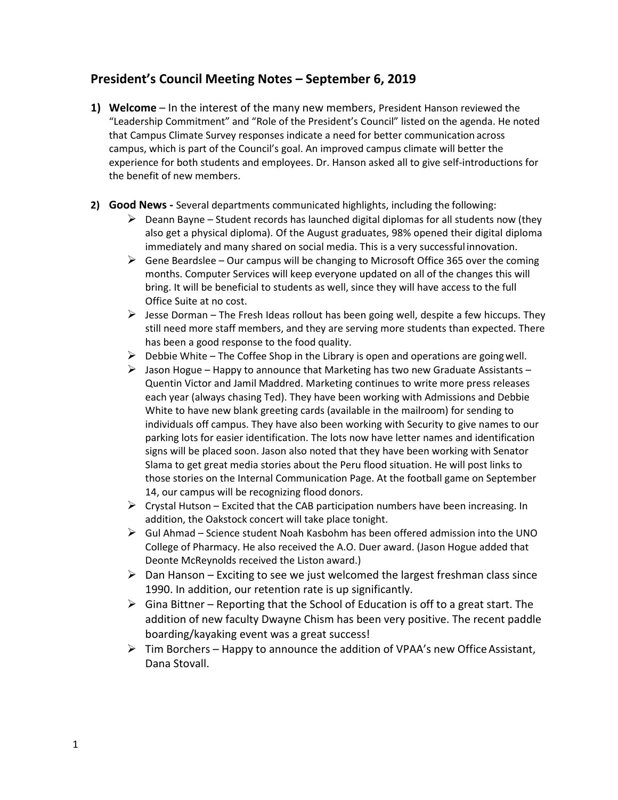## **President's Council Meeting Notes – September 6, 2019**

- **1) Welcome**  In the interest of the many new members, President Hanson reviewed the "Leadership Commitment" and "Role of the President's Council" listed on the agenda. He noted that Campus Climate Survey responses indicate a need for better communication across campus, which is part of the Council's goal. An improved campus climate will better the experience for both students and employees. Dr. Hanson asked all to give self-introductions for the benefit of new members.
- **2) Good News -** Several departments communicated highlights, including the following:
	- $\triangleright$  Deann Bayne Student records has launched digital diplomas for all students now (they also get a physical diploma). Of the August graduates, 98% opened their digital diploma immediately and many shared on social media. This is a very successful innovation.
	- $\triangleright$  Gene Beardslee Our campus will be changing to Microsoft Office 365 over the coming months. Computer Services will keep everyone updated on all of the changes this will bring. It will be beneficial to students as well, since they will have access to the full Office Suite at no cost.
	- $\triangleright$  Jesse Dorman The Fresh Ideas rollout has been going well, despite a few hiccups. They still need more staff members, and they are serving more students than expected. There has been a good response to the food quality.
	- $\triangleright$  Debbie White The Coffee Shop in the Library is open and operations are going well.
	- $\triangleright$  Jason Hogue Happy to announce that Marketing has two new Graduate Assistants Quentin Victor and Jamil Maddred. Marketing continues to write more press releases each year (always chasing Ted). They have been working with Admissions and Debbie White to have new blank greeting cards (available in the mailroom) for sending to individuals off campus. They have also been working with Security to give names to our parking lots for easier identification. The lots now have letter names and identification signs will be placed soon. Jason also noted that they have been working with Senator Slama to get great media stories about the Peru flood situation. He will post links to those stories on the Internal Communication Page. At the football game on September 14, our campus will be recognizing flood donors.
	- $\triangleright$  Crystal Hutson Excited that the CAB participation numbers have been increasing. In addition, the Oakstock concert will take place tonight.
	- $\triangleright$  Gul Ahmad Science student Noah Kasbohm has been offered admission into the UNO College of Pharmacy. He also received the A.O. Duer award. (Jason Hogue added that Deonte McReynolds received the Liston award.)
	- $\triangleright$  Dan Hanson Exciting to see we just welcomed the largest freshman class since 1990. In addition, our retention rate is up significantly.
	- $\triangleright$  Gina Bittner Reporting that the School of Education is off to a great start. The addition of new faculty Dwayne Chism has been very positive. The recent paddle boarding/kayaking event was a great success!
	- $\triangleright$  Tim Borchers Happy to announce the addition of VPAA's new Office Assistant, Dana Stovall.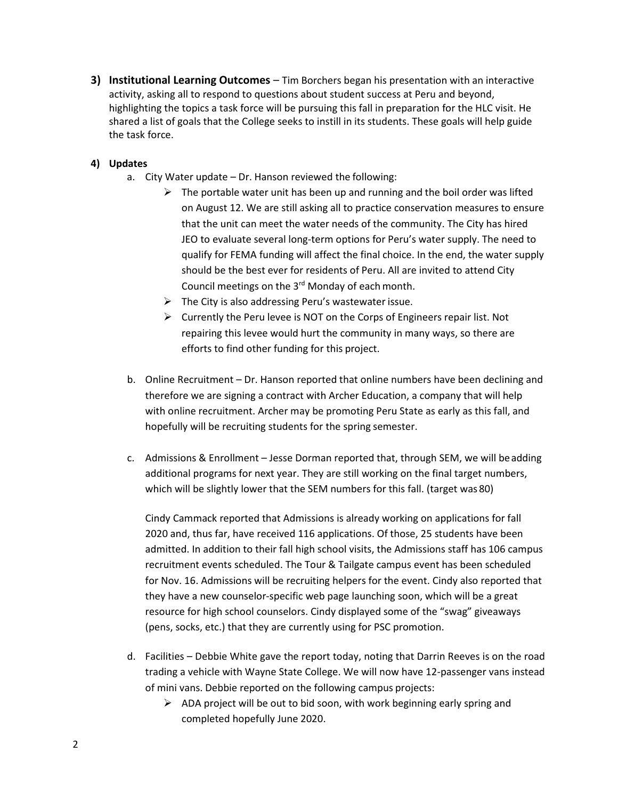**3) Institutional Learning Outcomes** – Tim Borchers began his presentation with an interactive activity, asking all to respond to questions about student success at Peru and beyond, highlighting the topics a task force will be pursuing this fall in preparation for the HLC visit. He shared a list of goals that the College seeks to instill in its students. These goals will help guide the task force.

## **4) Updates**

- a. City Water update Dr. Hanson reviewed the following:
	- $\triangleright$  The portable water unit has been up and running and the boil order was lifted on August 12. We are still asking all to practice conservation measures to ensure that the unit can meet the water needs of the community. The City has hired JEO to evaluate several long-term options for Peru's water supply. The need to qualify for FEMA funding will affect the final choice. In the end, the water supply should be the best ever for residents of Peru. All are invited to attend City Council meetings on the  $3<sup>rd</sup>$  Monday of each month.
	- $\triangleright$  The City is also addressing Peru's wastewater issue.
	- $\triangleright$  Currently the Peru levee is NOT on the Corps of Engineers repair list. Not repairing this levee would hurt the community in many ways, so there are efforts to find other funding for this project.
- b. Online Recruitment Dr. Hanson reported that online numbers have been declining and therefore we are signing a contract with Archer Education, a company that will help with online recruitment. Archer may be promoting Peru State as early as this fall, and hopefully will be recruiting students for the spring semester.
- c. Admissions & Enrollment Jesse Dorman reported that, through SEM, we will beadding additional programs for next year. They are still working on the final target numbers, which will be slightly lower that the SEM numbers for this fall. (target was 80)

Cindy Cammack reported that Admissions is already working on applications for fall 2020 and, thus far, have received 116 applications. Of those, 25 students have been admitted. In addition to their fall high school visits, the Admissions staff has 106 campus recruitment events scheduled. The Tour & Tailgate campus event has been scheduled for Nov. 16. Admissions will be recruiting helpers for the event. Cindy also reported that they have a new counselor-specific web page launching soon, which will be a great resource for high school counselors. Cindy displayed some of the "swag" giveaways (pens, socks, etc.) that they are currently using for PSC promotion.

- d. Facilities Debbie White gave the report today, noting that Darrin Reeves is on the road trading a vehicle with Wayne State College. We will now have 12-passenger vans instead of mini vans. Debbie reported on the following campus projects:
	- $\triangleright$  ADA project will be out to bid soon, with work beginning early spring and completed hopefully June 2020.